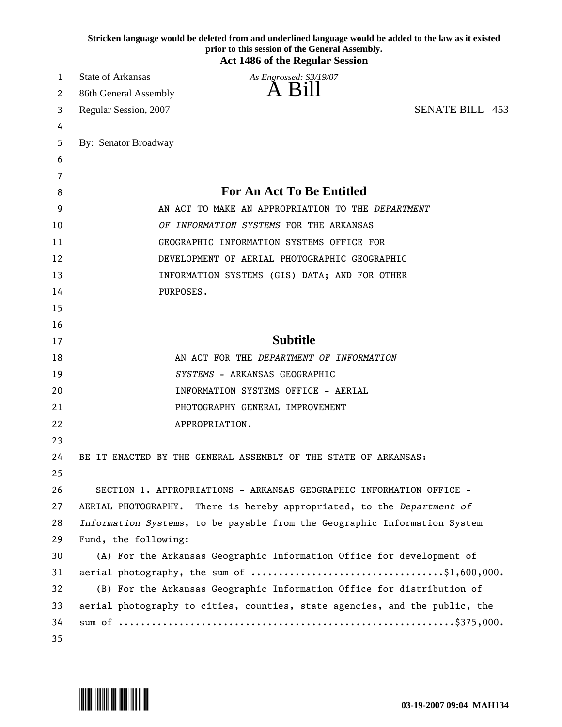|    | Stricken language would be deleted from and underlined language would be added to the law as it existed<br>prior to this session of the General Assembly.<br><b>Act 1486 of the Regular Session</b> |
|----|-----------------------------------------------------------------------------------------------------------------------------------------------------------------------------------------------------|
| 1  | <b>State of Arkansas</b><br>As Engrossed: S3/19/07                                                                                                                                                  |
| 2  | A Bill<br>86th General Assembly                                                                                                                                                                     |
| 3  | <b>SENATE BILL 453</b><br>Regular Session, 2007                                                                                                                                                     |
| 4  |                                                                                                                                                                                                     |
| 5  | By: Senator Broadway                                                                                                                                                                                |
| 6  |                                                                                                                                                                                                     |
| 7  |                                                                                                                                                                                                     |
| 8  | <b>For An Act To Be Entitled</b>                                                                                                                                                                    |
| 9  | AN ACT TO MAKE AN APPROPRIATION TO THE DEPARTMENT                                                                                                                                                   |
| 10 | OF INFORMATION SYSTEMS FOR THE ARKANSAS                                                                                                                                                             |
| 11 | GEOGRAPHIC INFORMATION SYSTEMS OFFICE FOR                                                                                                                                                           |
| 12 | DEVELOPMENT OF AERIAL PHOTOGRAPHIC GEOGRAPHIC                                                                                                                                                       |
| 13 | INFORMATION SYSTEMS (GIS) DATA; AND FOR OTHER                                                                                                                                                       |
| 14 | PURPOSES.                                                                                                                                                                                           |
| 15 |                                                                                                                                                                                                     |
| 16 |                                                                                                                                                                                                     |
| 17 | <b>Subtitle</b>                                                                                                                                                                                     |
| 18 | AN ACT FOR THE DEPARTMENT OF INFORMATION                                                                                                                                                            |
| 19 | SYSTEMS - ARKANSAS GEOGRAPHIC                                                                                                                                                                       |
| 20 | INFORMATION SYSTEMS OFFICE - AERIAL                                                                                                                                                                 |
| 21 | PHOTOGRAPHY GENERAL IMPROVEMENT                                                                                                                                                                     |
| 22 | APPROPRIATION.                                                                                                                                                                                      |
| 23 |                                                                                                                                                                                                     |
| 24 | BE IT ENACTED BY THE GENERAL ASSEMBLY OF THE STATE OF ARKANSAS:                                                                                                                                     |
| 25 |                                                                                                                                                                                                     |
| 26 | SECTION 1. APPROPRIATIONS - ARKANSAS GEOGRAPHIC INFORMATION OFFICE -                                                                                                                                |
| 27 | AERIAL PHOTOGRAPHY. There is hereby appropriated, to the Department of                                                                                                                              |
| 28 | Information Systems, to be payable from the Geographic Information System                                                                                                                           |
| 29 | Fund, the following:                                                                                                                                                                                |
| 30 | (A) For the Arkansas Geographic Information Office for development of                                                                                                                               |
| 31 |                                                                                                                                                                                                     |
| 32 | (B) For the Arkansas Geographic Information Office for distribution of                                                                                                                              |
| 33 | aerial photography to cities, counties, state agencies, and the public, the                                                                                                                         |
| 34 |                                                                                                                                                                                                     |
| 35 |                                                                                                                                                                                                     |

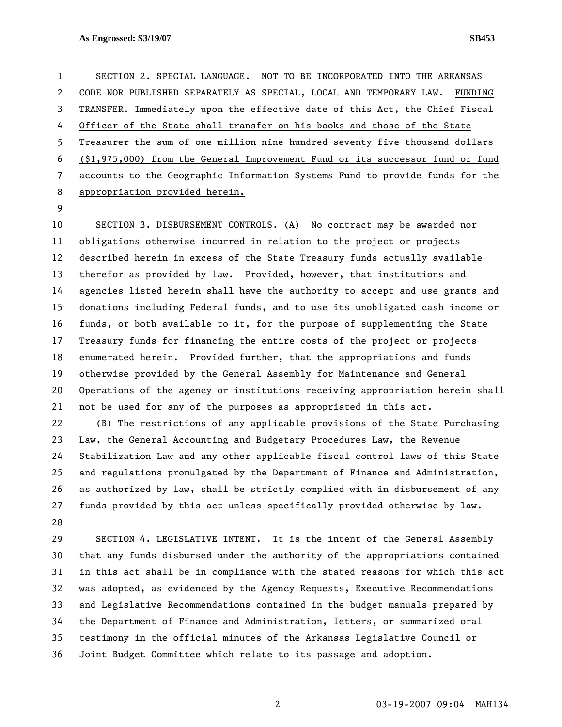## **As Engrossed: S3/19/07 SB453**

1 SECTION 2. SPECIAL LANGUAGE. NOT TO BE INCORPORATED INTO THE ARKANSAS 2 CODE NOR PUBLISHED SEPARATELY AS SPECIAL, LOCAL AND TEMPORARY LAW. FUNDING 3 TRANSFER. Immediately upon the effective date of this Act, the Chief Fiscal 4 Officer of the State shall transfer on his books and those of the State 5 Treasurer the sum of one million nine hundred seventy five thousand dollars 6 (\$1,975,000) from the General Improvement Fund or its successor fund or fund 7 accounts to the Geographic Information Systems Fund to provide funds for the 8 appropriation provided herein.

9

10 SECTION 3. DISBURSEMENT CONTROLS. (A) No contract may be awarded nor 11 obligations otherwise incurred in relation to the project or projects 12 described herein in excess of the State Treasury funds actually available 13 therefor as provided by law. Provided, however, that institutions and 14 agencies listed herein shall have the authority to accept and use grants and 15 donations including Federal funds, and to use its unobligated cash income or 16 funds, or both available to it, for the purpose of supplementing the State 17 Treasury funds for financing the entire costs of the project or projects 18 enumerated herein. Provided further, that the appropriations and funds 19 otherwise provided by the General Assembly for Maintenance and General 20 Operations of the agency or institutions receiving appropriation herein shall 21 not be used for any of the purposes as appropriated in this act. 22 (B) The restrictions of any applicable provisions of the State Purchasing

23 Law, the General Accounting and Budgetary Procedures Law, the Revenue 24 Stabilization Law and any other applicable fiscal control laws of this State 25 and regulations promulgated by the Department of Finance and Administration, 26 as authorized by law, shall be strictly complied with in disbursement of any 27 funds provided by this act unless specifically provided otherwise by law. 28

29 SECTION 4. LEGISLATIVE INTENT. It is the intent of the General Assembly 30 that any funds disbursed under the authority of the appropriations contained 31 in this act shall be in compliance with the stated reasons for which this act 32 was adopted, as evidenced by the Agency Requests, Executive Recommendations 33 and Legislative Recommendations contained in the budget manuals prepared by 34 the Department of Finance and Administration, letters, or summarized oral 35 testimony in the official minutes of the Arkansas Legislative Council or 36 Joint Budget Committee which relate to its passage and adoption.